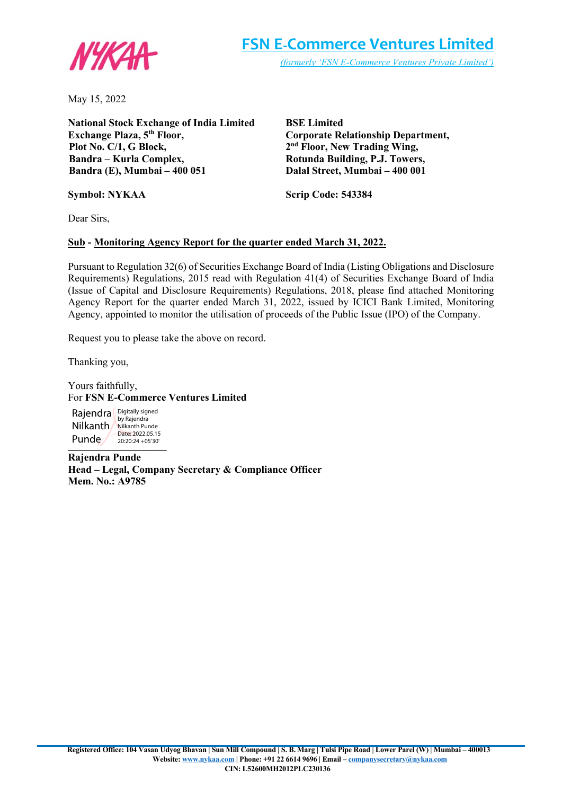

May 15, 2022

**National Stock Exchange of India Limited Exchange Plaza, 5th Floor, Plot No. C/1, G Block, Bandra – Kurla Complex, Bandra (E), Mumbai – 400 051**

**BSE Limited Corporate Relationship Department, 2nd Floor, New Trading Wing, Rotunda Building, P.J. Towers, Dalal Street, Mumbai – 400 001**

**Scrip Code: 543384**

Dear Sirs,

**Symbol: NYKAA**

# **Sub - Monitoring Agency Report for the quarter ended March 31, 2022.**

Pursuant to Regulation 32(6) of Securities Exchange Board of India (Listing Obligations and Disclosure Requirements) Regulations, 2015 read with Regulation 41(4) of Securities Exchange Board of India (Issue of Capital and Disclosure Requirements) Regulations, 2018, please find attached Monitoring Agency Report for the quarter ended March 31, 2022, issued by ICICI Bank Limited, Monitoring Agency, appointed to monitor the utilisation of proceeds of the Public Issue (IPO) of the Company.

Request you to please take the above on record.

Thanking you,

Yours faithfully, For **FSN E-Commerce Ventures Limited**

 $-$  **and**  $\frac{20:20:24+05:30}{20:20:24+05:30}$ Rajendra Bigitally signed Nilkanth Nilkanth Punde Punde<sub></sub> Date: 2022.05.15 20:20:24 +05'30'

**Rajendra Punde Head – Legal, Company Secretary & Compliance Officer Mem. No.: A9785**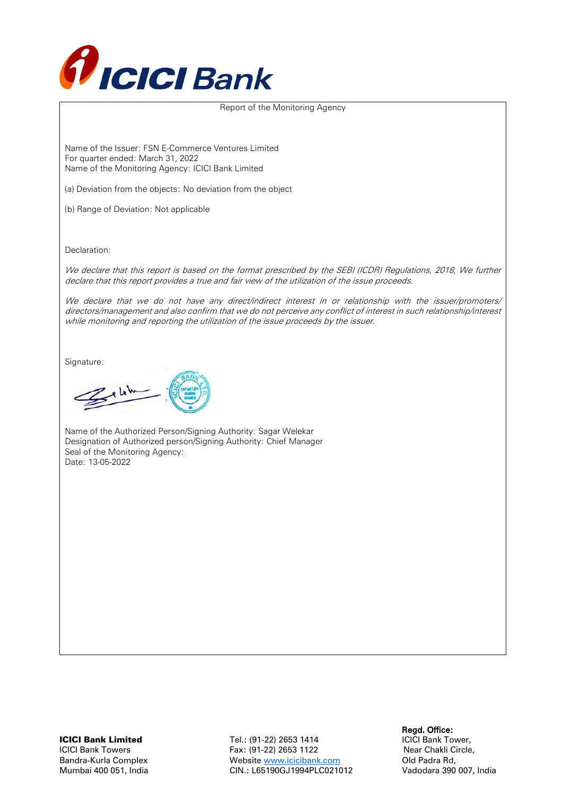

### Report of the Monitoring Agency

Name of the Issuer: FSN E-Commerce Ventures Limited For quarter ended: March 31, 2022 Name of the Monitoring Agency: ICICI Bank Limited

(a) Deviation from the objects: No deviation from the object

(b) Range of Deviation: Not applicable

Declaration:

We declare that this report is based on the format prescribed by the SEBI (ICDR) Regulations, 2018, We further declare that this report provides a true and fair view of the utilization of the issue proceeds.

We declare that we do not have any direct/indirect interest in or relationship with the issuer/promoters/ directors/management and also confirm that we do not perceive any conflict of interest in such relationship/interest while monitoring and reporting the utilization of the issue proceeds by the issuer.

Signature:

 $2.11$ 

Name of the Authorized Person/Signing Authority: Sagar Welekar Designation of Authorized person/Signing Authority: Chief Manager Seal of the Monitoring Agency: Date: 13-05-2022

**CICI Bank Limited**<br>**Regd. Office:** Tel.: (91-22) 2653 1414 **Regd. Office:** CICI Bank Tower, Tel.: (91-22) 2653 1414 ICICI Bank Towers Fax: (91-22) 2653 1122 Near Chakli Circle, Bandra-Kurla Complex Website www.icicibank.com Old Padra Rd, Mumbai 400 051, India CIN.: L65190GJ1994PLC021012 Vadodara 390 007, India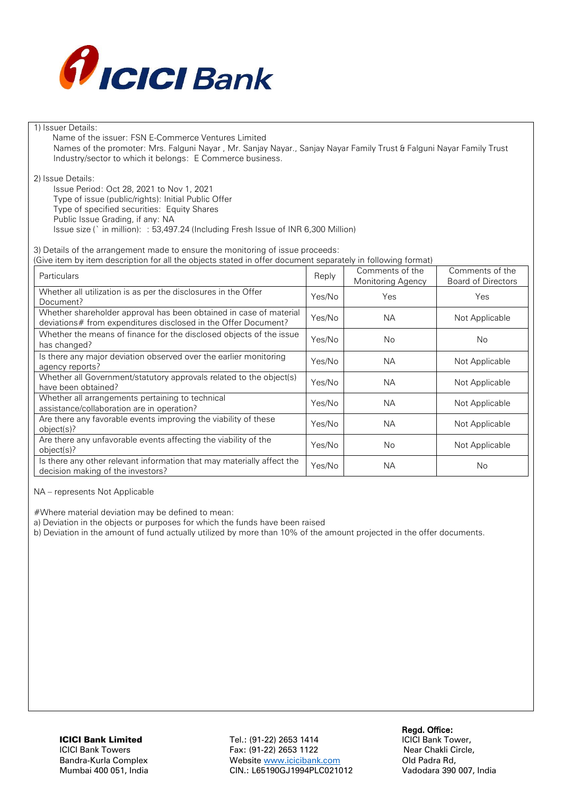

### 1) Issuer Details:

 Name of the issuer: FSN E-Commerce Ventures Limited Names of the promoter: Mrs. Falguni Nayar , Mr. Sanjay Nayar., Sanjay Nayar Family Trust & Falguni Nayar Family Trust Industry/sector to which it belongs: E Commerce business.

2) Issue Details:

Issue Period: Oct 28, 2021 to Nov 1, 2021 Type of issue (public/rights): Initial Public Offer

Type of specified securities: Equity Shares

Public Issue Grading, if any: NA

Issue size (` in million): : 53,497.24 (Including Fresh Issue of INR 6,300 Million)

3) Details of the arrangement made to ensure the monitoring of issue proceeds:

(Give item by item description for all the objects stated in offer document separately in following format)

| Particulars                                                                                                                          | Reply  | Comments of the<br>Monitoring Agency | Comments of the<br><b>Board of Directors</b> |
|--------------------------------------------------------------------------------------------------------------------------------------|--------|--------------------------------------|----------------------------------------------|
| Whether all utilization is as per the disclosures in the Offer<br>Document?                                                          | Yes/No | Yes                                  | Yes                                          |
| Whether shareholder approval has been obtained in case of material<br>deviations# from expenditures disclosed in the Offer Document? | Yes/No | <b>NA</b>                            | Not Applicable                               |
| Whether the means of finance for the disclosed objects of the issue<br>has changed?                                                  | Yes/No | No.                                  | No                                           |
| Is there any major deviation observed over the earlier monitoring<br>agency reports?                                                 | Yes/No | NA.                                  | Not Applicable                               |
| Whether all Government/statutory approvals related to the object(s)<br>have been obtained?                                           | Yes/No | <b>NA</b>                            | Not Applicable                               |
| Whether all arrangements pertaining to technical<br>assistance/collaboration are in operation?                                       | Yes/No | <b>NA</b>                            | Not Applicable                               |
| Are there any favorable events improving the viability of these<br>object(s)?                                                        | Yes/No | <b>NA</b>                            | Not Applicable                               |
| Are there any unfavorable events affecting the viability of the<br>object(s)?                                                        | Yes/No | <b>No</b>                            | Not Applicable                               |
| Is there any other relevant information that may materially affect the<br>decision making of the investors?                          | Yes/No | <b>NA</b>                            | No                                           |

### NA – represents Not Applicable

#Where material deviation may be defined to mean:

a) Deviation in the objects or purposes for which the funds have been raised

b) Deviation in the amount of fund actually utilized by more than 10% of the amount projected in the offer documents.

Regd. Office:<br>191-22) 2653 1414 Tel.: (91-22) 2653 1414 ICICI Bank Tower, Tel.: (91-22) 2653 1414 ICICI Bank Towers Fax: (91-22) 2653 1122 Near Chakli Circle, Bandra-Kurla Complex Website www.icicibank.com Old Padra Rd, Mumbai 400 051, India CIN.: L65190GJ1994PLC021012 Vadodara 390 007, India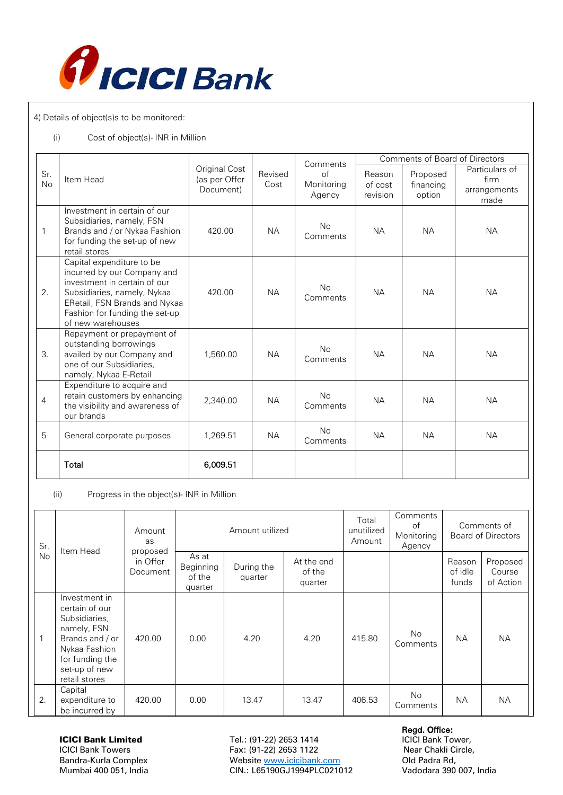

4) Details of object(s)s to be monitored:

## (i) Cost of object(s)- INR in Million

|                  |                                                                                                                                                                                                                 |                                             |                 | Comments                   | Comments of Board of Directors |                                 |                                                |  |
|------------------|-----------------------------------------------------------------------------------------------------------------------------------------------------------------------------------------------------------------|---------------------------------------------|-----------------|----------------------------|--------------------------------|---------------------------------|------------------------------------------------|--|
| Sr.<br><b>No</b> | Item Head                                                                                                                                                                                                       | Original Cost<br>(as per Offer<br>Document) | Revised<br>Cost | Ωf<br>Monitoring<br>Agency | Reason<br>of cost<br>revision  | Proposed<br>financing<br>option | Particulars of<br>firm<br>arrangements<br>made |  |
| $\mathbf{1}$     | Investment in certain of our<br>Subsidiaries, namely, FSN<br>Brands and / or Nykaa Fashion<br>for funding the set-up of new<br>retail stores                                                                    | 420.00                                      | <b>NA</b>       | <b>No</b><br>Comments      | <b>NA</b>                      | <b>NA</b>                       | <b>NA</b>                                      |  |
| 2.               | Capital expenditure to be<br>incurred by our Company and<br>investment in certain of our<br>Subsidiaries, namely, Nykaa<br>ERetail, FSN Brands and Nykaa<br>Fashion for funding the set-up<br>of new warehouses | 420.00                                      | <b>NA</b>       | <b>No</b><br>Comments      | <b>NA</b>                      | <b>NA</b>                       | <b>NA</b>                                      |  |
| 3.               | Repayment or prepayment of<br>outstanding borrowings<br>availed by our Company and<br>one of our Subsidiaries,<br>namely, Nykaa E-Retail                                                                        | 1,560,00                                    | <b>NA</b>       | <b>No</b><br>Comments      | <b>NA</b>                      | <b>NA</b>                       | <b>NA</b>                                      |  |
| 4                | Expenditure to acquire and<br>retain customers by enhancing<br>the visibility and awareness of<br>our brands                                                                                                    | 2,340.00                                    | <b>NA</b>       | <b>No</b><br>Comments      | <b>NA</b>                      | <b>NA</b>                       | <b>NA</b>                                      |  |
| 5                | General corporate purposes                                                                                                                                                                                      | 1,269.51                                    | <b>NA</b>       | <b>No</b><br>Comments      | <b>NA</b>                      | <b>NA</b>                       | <b>NA</b>                                      |  |
|                  | Total                                                                                                                                                                                                           | 6,009.51                                    |                 |                            |                                |                                 |                                                |  |

(ii) Progress in the object(s)- INR in Million

| Sr. |    | Item Head                                                                                                                                                | Amount<br>as<br>proposed | Amount utilized                         |                       |                                 | Total<br>unutilized<br>Amount | Comments<br>of<br>Monitoring<br>Agency |                            | Comments of<br><b>Board of Directors</b> |
|-----|----|----------------------------------------------------------------------------------------------------------------------------------------------------------|--------------------------|-----------------------------------------|-----------------------|---------------------------------|-------------------------------|----------------------------------------|----------------------------|------------------------------------------|
|     | No |                                                                                                                                                          | in Offer<br>Document     | As at<br>Beginning<br>of the<br>quarter | During the<br>quarter | At the end<br>of the<br>quarter |                               |                                        | Reason<br>of idle<br>funds | Proposed<br>Course<br>of Action          |
|     | 1  | Investment in<br>certain of our<br>Subsidiaries,<br>namely, FSN<br>Brands and / or<br>Nykaa Fashion<br>for funding the<br>set-up of new<br>retail stores | 420.00                   | 0.00                                    | 4.20                  | 4.20                            | 415.80                        | <b>No</b><br>Comments                  | <b>NA</b>                  | <b>NA</b>                                |
|     | 2. | Capital<br>expenditure to<br>be incurred by                                                                                                              | 420.00                   | 0.00                                    | 13.47                 | 13.47                           | 406.53                        | No.<br>Comments                        | NA.                        | <b>NA</b>                                |

**CICI Bank Limited**<br>**Regd. Office:** Tel.: (91-22) 2653 1414 **Regd. Office:** CICI Bank Tower, Tel.: (91-22) 2653 1414 ICICI Bank Towers Fax: (91-22) 2653 1122<br>Bandra-Kurla Complex Fax: Website www.icicibank.com Cld Padra Rd, Website www.icicibank.com Mumbai 400 051, India CIN.: L65190GJ1994PLC021012 Vadodara 390 007, India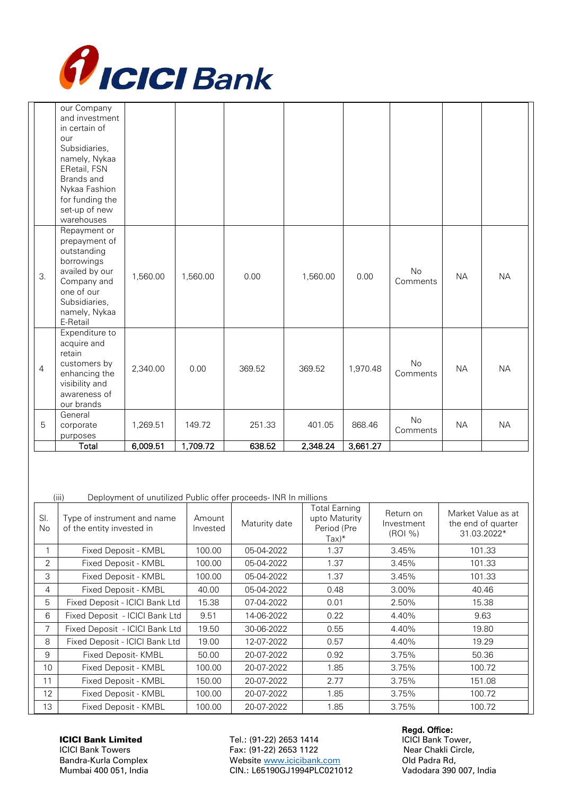

|                | our Company<br>and investment  |          |          |        |          |          |           |           |           |
|----------------|--------------------------------|----------|----------|--------|----------|----------|-----------|-----------|-----------|
|                | in certain of                  |          |          |        |          |          |           |           |           |
|                | our                            |          |          |        |          |          |           |           |           |
|                | Subsidiaries,<br>namely, Nykaa |          |          |        |          |          |           |           |           |
|                | ERetail, FSN                   |          |          |        |          |          |           |           |           |
|                | Brands and                     |          |          |        |          |          |           |           |           |
|                | Nykaa Fashion                  |          |          |        |          |          |           |           |           |
|                | for funding the                |          |          |        |          |          |           |           |           |
|                | set-up of new                  |          |          |        |          |          |           |           |           |
|                | warehouses                     |          |          |        |          |          |           |           |           |
|                | Repayment or<br>prepayment of  |          |          |        |          |          |           |           |           |
|                | outstanding                    |          |          |        |          |          |           |           |           |
|                | borrowings                     |          |          |        |          |          |           |           |           |
| 3.             | availed by our                 | 1,560.00 | 1,560.00 | 0.00   | 1,560.00 | 0.00     | <b>No</b> | <b>NA</b> | <b>NA</b> |
|                | Company and                    |          |          |        |          |          | Comments  |           |           |
|                | one of our<br>Subsidiaries,    |          |          |        |          |          |           |           |           |
|                | namely, Nykaa                  |          |          |        |          |          |           |           |           |
|                | E-Retail                       |          |          |        |          |          |           |           |           |
|                | Expenditure to                 |          |          |        |          |          |           |           |           |
|                | acquire and                    |          |          |        |          |          |           |           |           |
|                | retain                         |          |          |        |          |          | <b>No</b> |           |           |
| $\overline{4}$ | customers by<br>enhancing the  | 2,340.00 | 0.00     | 369.52 | 369.52   | 1,970.48 | Comments  | <b>NA</b> | <b>NA</b> |
|                | visibility and                 |          |          |        |          |          |           |           |           |
|                | awareness of                   |          |          |        |          |          |           |           |           |
|                | our brands                     |          |          |        |          |          |           |           |           |
|                | General                        |          |          |        |          |          | No        |           |           |
| 5              | corporate<br>purposes          | 1,269.51 | 149.72   | 251.33 | 401.05   | 868.46   | Comments  | <b>NA</b> | <b>NA</b> |
|                | Total                          | 6,009.51 | 1,709.72 | 638.52 | 2,348.24 | 3,661.27 |           |           |           |

(iii) Deployment of unutilized Public offer proceeds- INR In millions

| SI.<br>No      | Type of instrument and name<br>of the entity invested in | Amount<br>Invested | Maturity date | <b>Total Earning</b><br>upto Maturity<br>Period (Pre<br>$\text{Tax}$ )* | Return on<br>Investment<br>(ROI %) | Market Value as at<br>the end of quarter<br>31.03.2022* |
|----------------|----------------------------------------------------------|--------------------|---------------|-------------------------------------------------------------------------|------------------------------------|---------------------------------------------------------|
|                | Fixed Deposit - KMBL                                     | 100.00             | 05-04-2022    | 1.37                                                                    | 3.45%                              | 101.33                                                  |
| $\overline{2}$ | Fixed Deposit - KMBL                                     | 100.00             | 05-04-2022    | 1.37                                                                    | 3.45%                              | 101.33                                                  |
| 3              | Fixed Deposit - KMBL                                     | 100.00             | 05-04-2022    | 1.37                                                                    | 3.45%                              | 101.33                                                  |
| 4              | Fixed Deposit - KMBL                                     | 40.00              | 05-04-2022    | 0.48                                                                    | $3.00\%$                           | 40.46                                                   |
| 5              | Fixed Deposit - ICICI Bank Ltd                           | 15.38              | 07-04-2022    | 0.01                                                                    | 2.50%                              | 15.38                                                   |
| 6              | Fixed Deposit - ICICI Bank Ltd                           | 9.51               | 14-06-2022    | 0.22                                                                    | 4.40%                              | 9.63                                                    |
| 7              | Fixed Deposit - ICICI Bank Ltd                           | 19.50              | 30-06-2022    | 0.55                                                                    | 4.40%                              | 19.80                                                   |
| 8              | Fixed Deposit - ICICI Bank Ltd                           | 19.00              | 12-07-2022    | 0.57                                                                    | 4.40%                              | 19.29                                                   |
| 9              | Fixed Deposit-KMBL                                       | 50.00              | 20-07-2022    | 0.92                                                                    | 3.75%                              | 50.36                                                   |
| 10             | Fixed Deposit - KMBL                                     | 100.00             | 20-07-2022    | 1.85                                                                    | 3.75%                              | 100.72                                                  |
| 11             | Fixed Deposit - KMBL                                     | 150.00             | 20-07-2022    | 2.77                                                                    | 3.75%                              | 151.08                                                  |
| 12             | Fixed Deposit - KMBL                                     | 100.00             | 20-07-2022    | 1.85                                                                    | 3.75%                              | 100.72                                                  |
| 13             | Fixed Deposit - KMBL                                     | 100.00             | 20-07-2022    | 1.85                                                                    | 3.75%                              | 100.72                                                  |

**CICI Bank Limited**<br>**Regd. Office:** Tel.: (91-22) 2653 1414 **Regd. Office:** CICI Bank Tower, Tel.: (91-22) 2653 1414 ICICI Bank Towers Fax: (91-22) 2653 1122<br>Bandra-Kurla Complex Fax: Website www.icicibank.com Cld Padra Rd, Website www.icicibank.com Mumbai 400 051, India CIN.: L65190GJ1994PLC021012 Vadodara 390 007, India